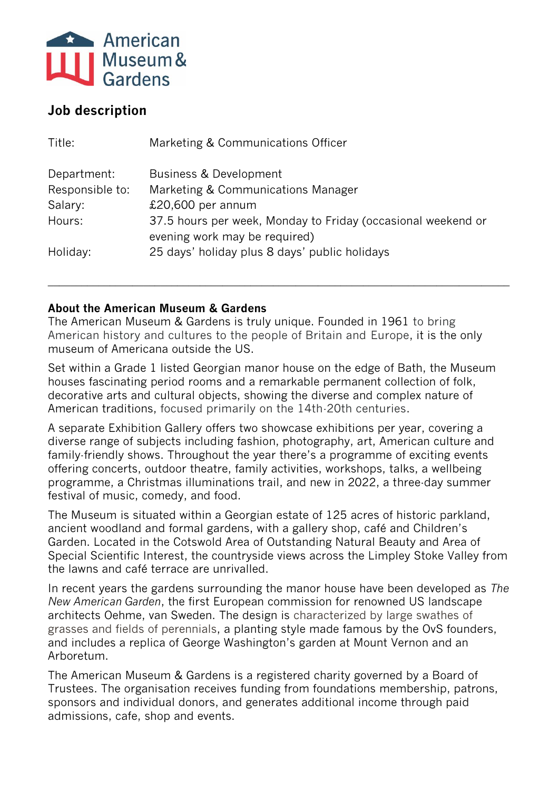

# **Job description**

| Title:          | Marketing & Communications Officer                                                            |
|-----------------|-----------------------------------------------------------------------------------------------|
| Department:     | Business & Development                                                                        |
| Responsible to: | Marketing & Communications Manager                                                            |
| Salary:         | $£20,600$ per annum                                                                           |
| Hours:          | 37.5 hours per week, Monday to Friday (occasional weekend or<br>evening work may be required) |
| Holiday:        | 25 days' holiday plus 8 days' public holidays                                                 |

## **About the American Museum & Gardens**

The American Museum & Gardens is truly unique. Founded in 1961 to bring American history and cultures to the people of Britain and Europe, it is the only museum of Americana outside the US.

**\_\_\_\_\_\_\_\_\_\_\_\_\_\_\_\_\_\_\_\_\_\_\_\_\_\_\_\_\_\_\_\_\_\_\_\_\_\_\_\_\_\_\_\_\_\_\_\_\_\_\_\_\_\_\_\_\_\_\_\_\_\_\_\_\_\_\_\_\_\_\_\_\_\_\_\_\_\_\_\_\_\_**

Set within a Grade 1 listed Georgian manor house on the edge of Bath, the Museum houses fascinating period rooms and a remarkable permanent collection of folk, decorative arts and cultural objects, showing the diverse and complex nature of American traditions, focused primarily on the 14th-20th centuries.

A separate Exhibition Gallery offers two showcase exhibitions per year, covering a diverse range of subjects including fashion, photography, art, American culture and family-friendly shows. Throughout the year there's a programme of exciting events offering concerts, outdoor theatre, family activities, workshops, talks, a wellbeing programme, a Christmas illuminations trail, and new in 2022, a three-day summer festival of music, comedy, and food.

The Museum is situated within a Georgian estate of 125 acres of historic parkland, ancient woodland and formal gardens, with a gallery shop, café and Children's Garden. Located in the Cotswold Area of Outstanding Natural Beauty and Area of Special Scientific Interest, the countryside views across the Limpley Stoke Valley from the lawns and café terrace are unrivalled.

In recent years the gardens surrounding the manor house have been developed as *The New American Garden*, the first European commission for renowned US landscape architects Oehme, van Sweden. The design is characterized by large swathes of grasses and fields of perennials, a planting style made famous by the OvS founders, and includes a replica of George Washington's garden at Mount Vernon and an Arboretum.

The American Museum & Gardens is a registered charity governed by a Board of Trustees. The organisation receives funding from foundations membership, patrons, sponsors and individual donors, and generates additional income through paid admissions, cafe, shop and events.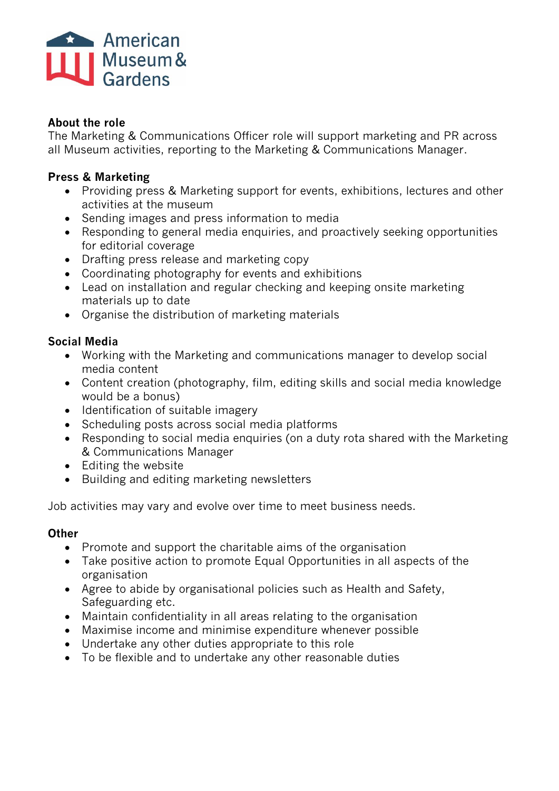

#### **About the role**

The Marketing & Communications Officer role will support marketing and PR across all Museum activities, reporting to the Marketing & Communications Manager.

## **Press & Marketing**

- Providing press & Marketing support for events, exhibitions, lectures and other activities at the museum
- Sending images and press information to media
- Responding to general media enquiries, and proactively seeking opportunities for editorial coverage
- Drafting press release and marketing copy
- Coordinating photography for events and exhibitions
- Lead on installation and regular checking and keeping onsite marketing materials up to date
- Organise the distribution of marketing materials

# **Social Media**

- Working with the Marketing and communications manager to develop social media content
- Content creation (photography, film, editing skills and social media knowledge would be a bonus)
- Identification of suitable imagery
- Scheduling posts across social media platforms
- Responding to social media enquiries (on a duty rota shared with the Marketing & Communications Manager
- Editing the website
- Building and editing marketing newsletters

Job activities may vary and evolve over time to meet business needs.

#### **Other**

- Promote and support the charitable aims of the organisation
- Take positive action to promote Equal Opportunities in all aspects of the organisation
- Agree to abide by organisational policies such as Health and Safety, Safeguarding etc.
- Maintain confidentiality in all areas relating to the organisation
- Maximise income and minimise expenditure whenever possible
- Undertake any other duties appropriate to this role
- To be flexible and to undertake any other reasonable duties